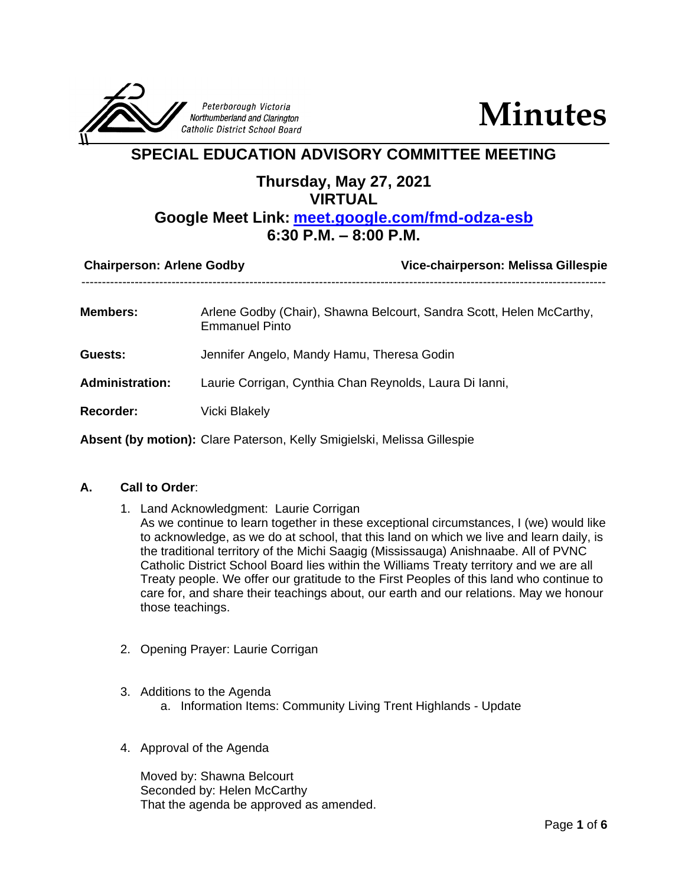

**Minutes**

## **SPECIAL EDUCATION ADVISORY COMMITTEE MEETING**

### **Thursday, May 27, 2021 VIRTUAL**

# **Google Meet Link: <meet.google.com/fmd-odza-esb> 6:30 P.M. – 8:00 P.M.**

| <b>Chairperson: Arlene Godby</b> | Vice-chairperson: Melissa Gillespie                                                           |
|----------------------------------|-----------------------------------------------------------------------------------------------|
| Members:                         | Arlene Godby (Chair), Shawna Belcourt, Sandra Scott, Helen McCarthy,<br><b>Emmanuel Pinto</b> |
| Guests:                          | Jennifer Angelo, Mandy Hamu, Theresa Godin                                                    |
| <b>Administration:</b>           | Laurie Corrigan, Cynthia Chan Reynolds, Laura Di Ianni,                                       |
| <b>Recorder:</b>                 | <b>Vicki Blakely</b>                                                                          |
|                                  | Absent (by motion): Clare Paterson, Kelly Smigielski, Melissa Gillespie                       |

#### **A. Call to Order**:

- 1. Land Acknowledgment: Laurie Corrigan As we continue to learn together in these exceptional circumstances, I (we) would like to acknowledge, as we do at school, that this land on which we live and learn daily, is the traditional territory of the Michi Saagig (Mississauga) Anishnaabe. All of PVNC Catholic District School Board lies within the Williams Treaty territory and we are all Treaty people. We offer our gratitude to the First Peoples of this land who continue to care for, and share their teachings about, our earth and our relations. May we honour those teachings.
- 2. Opening Prayer: Laurie Corrigan
- 3. Additions to the Agenda
	- a. Information Items: Community Living Trent Highlands Update
- 4. Approval of the Agenda

Moved by: Shawna Belcourt Seconded by: Helen McCarthy That the agenda be approved as amended.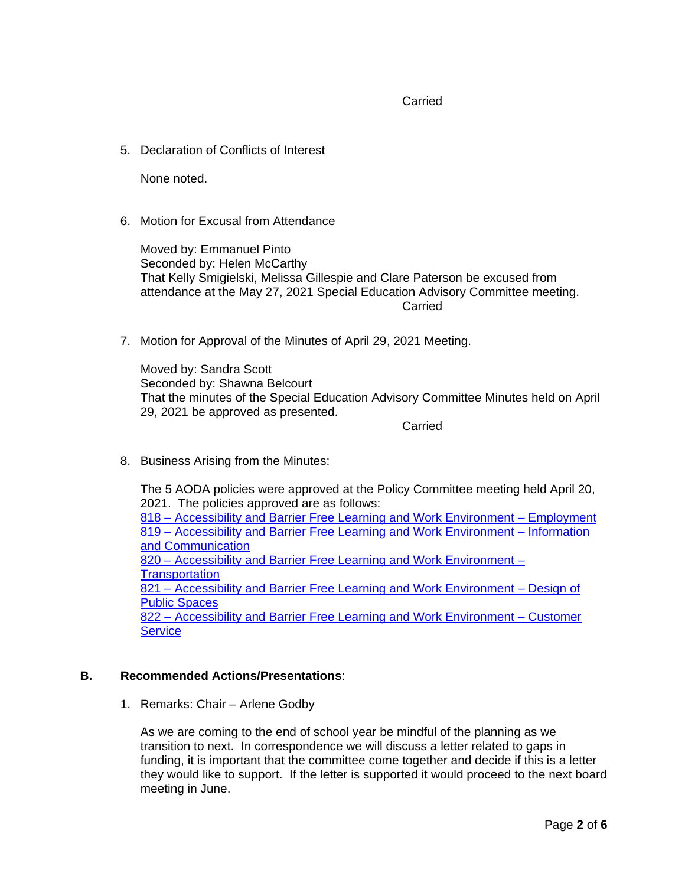Carried

5. Declaration of Conflicts of Interest

None noted.

6. Motion for Excusal from Attendance

Moved by: Emmanuel Pinto Seconded by: Helen McCarthy That Kelly Smigielski, Melissa Gillespie and Clare Paterson be excused from attendance at the May 27, 2021 Special Education Advisory Committee meeting. Carried

7. Motion for Approval of the Minutes of April 29, 2021 Meeting.

Moved by: Sandra Scott Seconded by: Shawna Belcourt That the minutes of the Special Education Advisory Committee Minutes held on April 29, 2021 be approved as presented.

Carried

8. Business Arising from the Minutes:

The 5 AODA policies were approved at the Policy Committee meeting held April 20, 2021. The policies approved are as follows:

818 – [Accessibility and Barrier Free Learning and Work Environment –](https://www.pvnccdsb.on.ca/wp-content/uploads/2021/04/818-AP-Accessibility-and-Barrier-Free-Learning-and-Work-Environment-Employment.pdf) Employment 819 – [Accessibility and Barrier Free Learning and Work Environment –](https://www.pvnccdsb.on.ca/wp-content/uploads/2021/04/819-AP-Accessibility-and-Barrier-Free-Learning-and-Work-Environment-Information-and-Communication.pdf) Information [and Communication](https://www.pvnccdsb.on.ca/wp-content/uploads/2021/04/819-AP-Accessibility-and-Barrier-Free-Learning-and-Work-Environment-Information-and-Communication.pdf) 820 – [Accessibility and Barrier Free Learning and Work Environment –](https://www.pvnccdsb.on.ca/wp-content/uploads/2021/04/820-AP-Accessibility-and-Barrier-Free-Learning-and-Work-Environment-Transportation.pdf) **[Transportation](https://www.pvnccdsb.on.ca/wp-content/uploads/2021/04/820-AP-Accessibility-and-Barrier-Free-Learning-and-Work-Environment-Transportation.pdf)** 821 – [Accessibility and Barrier Free Learning and Work Environment –](https://www.pvnccdsb.on.ca/wp-content/uploads/2021/04/821-AP-Accessibility-and-Barrier-Free-Learning-and-Work-Environment-Design-of-Public-Spaces.pdf) Design of

[Public Spaces](https://www.pvnccdsb.on.ca/wp-content/uploads/2021/04/821-AP-Accessibility-and-Barrier-Free-Learning-and-Work-Environment-Design-of-Public-Spaces.pdf) 822 – [Accessibility and Barrier Free Learning and Work Environment –](https://www.pvnccdsb.on.ca/wp-content/uploads/2021/04/822-AP-Accessibility-and-Barrier-Free-Learning-and-Work-Environment-Customer-Service.pdf) Customer **[Service](https://www.pvnccdsb.on.ca/wp-content/uploads/2021/04/822-AP-Accessibility-and-Barrier-Free-Learning-and-Work-Environment-Customer-Service.pdf)** 

#### **B. Recommended Actions/Presentations**:

1. Remarks: Chair – Arlene Godby

As we are coming to the end of school year be mindful of the planning as we transition to next. In correspondence we will discuss a letter related to gaps in funding, it is important that the committee come together and decide if this is a letter they would like to support. If the letter is supported it would proceed to the next board meeting in June.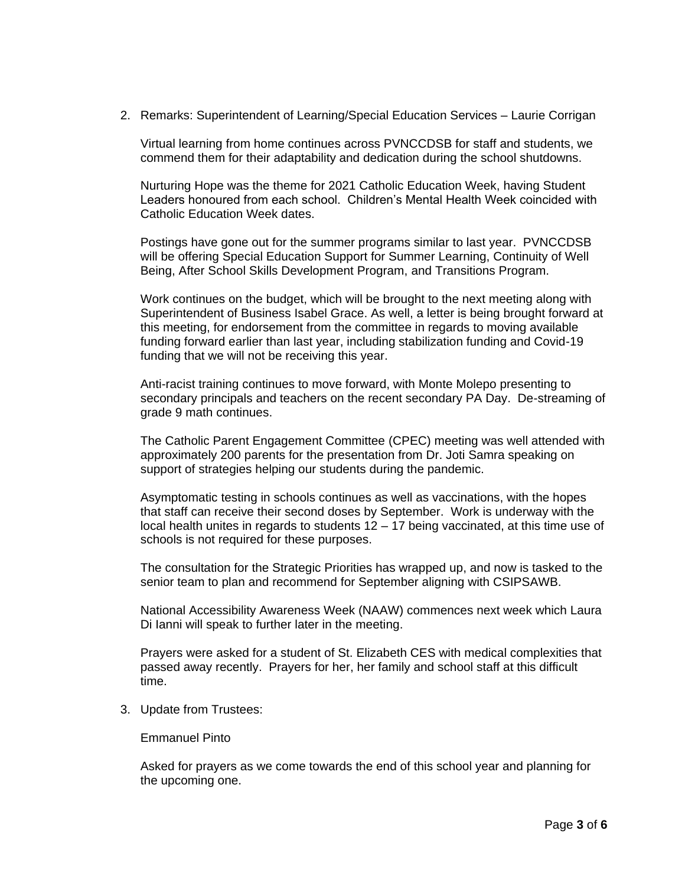2. Remarks: Superintendent of Learning/Special Education Services – Laurie Corrigan

Virtual learning from home continues across PVNCCDSB for staff and students, we commend them for their adaptability and dedication during the school shutdowns.

Nurturing Hope was the theme for 2021 Catholic Education Week, having Student Leaders honoured from each school. Children's Mental Health Week coincided with Catholic Education Week dates.

Postings have gone out for the summer programs similar to last year. PVNCCDSB will be offering Special Education Support for Summer Learning, Continuity of Well Being, After School Skills Development Program, and Transitions Program.

Work continues on the budget, which will be brought to the next meeting along with Superintendent of Business Isabel Grace. As well, a letter is being brought forward at this meeting, for endorsement from the committee in regards to moving available funding forward earlier than last year, including stabilization funding and Covid-19 funding that we will not be receiving this year.

Anti-racist training continues to move forward, with Monte Molepo presenting to secondary principals and teachers on the recent secondary PA Day. De-streaming of grade 9 math continues.

The Catholic Parent Engagement Committee (CPEC) meeting was well attended with approximately 200 parents for the presentation from Dr. Joti Samra speaking on support of strategies helping our students during the pandemic.

Asymptomatic testing in schools continues as well as vaccinations, with the hopes that staff can receive their second doses by September. Work is underway with the local health unites in regards to students 12 – 17 being vaccinated, at this time use of schools is not required for these purposes.

The consultation for the Strategic Priorities has wrapped up, and now is tasked to the senior team to plan and recommend for September aligning with CSIPSAWB.

National Accessibility Awareness Week (NAAW) commences next week which Laura Di Ianni will speak to further later in the meeting.

Prayers were asked for a student of St. Elizabeth CES with medical complexities that passed away recently. Prayers for her, her family and school staff at this difficult time.

3. Update from Trustees:

Emmanuel Pinto

Asked for prayers as we come towards the end of this school year and planning for the upcoming one.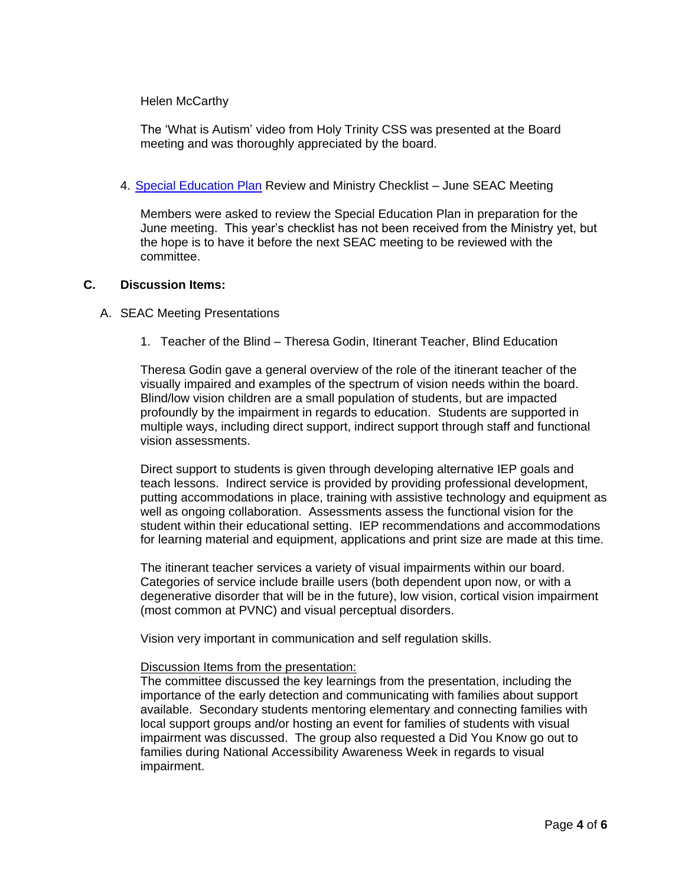#### Helen McCarthy

The 'What is Autism' video from Holy Trinity CSS was presented at the Board meeting and was thoroughly appreciated by the board.

#### 4. [Special Education Plan](https://www.pvnccdsb.on.ca/wp-content/uploads/2020/11/2020-Special-Education-Plan.pdf) Review and Ministry Checklist - June SEAC Meeting

Members were asked to review the Special Education Plan in preparation for the June meeting. This year's checklist has not been received from the Ministry yet, but the hope is to have it before the next SEAC meeting to be reviewed with the committee.

#### **C. Discussion Items:**

#### A. SEAC Meeting Presentations

1. Teacher of the Blind – Theresa Godin, Itinerant Teacher, Blind Education

Theresa Godin gave a general overview of the role of the itinerant teacher of the visually impaired and examples of the spectrum of vision needs within the board. Blind/low vision children are a small population of students, but are impacted profoundly by the impairment in regards to education. Students are supported in multiple ways, including direct support, indirect support through staff and functional vision assessments.

Direct support to students is given through developing alternative IEP goals and teach lessons. Indirect service is provided by providing professional development, putting accommodations in place, training with assistive technology and equipment as well as ongoing collaboration. Assessments assess the functional vision for the student within their educational setting. IEP recommendations and accommodations for learning material and equipment, applications and print size are made at this time.

The itinerant teacher services a variety of visual impairments within our board. Categories of service include braille users (both dependent upon now, or with a degenerative disorder that will be in the future), low vision, cortical vision impairment (most common at PVNC) and visual perceptual disorders.

Vision very important in communication and self regulation skills.

#### Discussion Items from the presentation:

The committee discussed the key learnings from the presentation, including the importance of the early detection and communicating with families about support available. Secondary students mentoring elementary and connecting families with local support groups and/or hosting an event for families of students with visual impairment was discussed. The group also requested a Did You Know go out to families during National Accessibility Awareness Week in regards to visual impairment.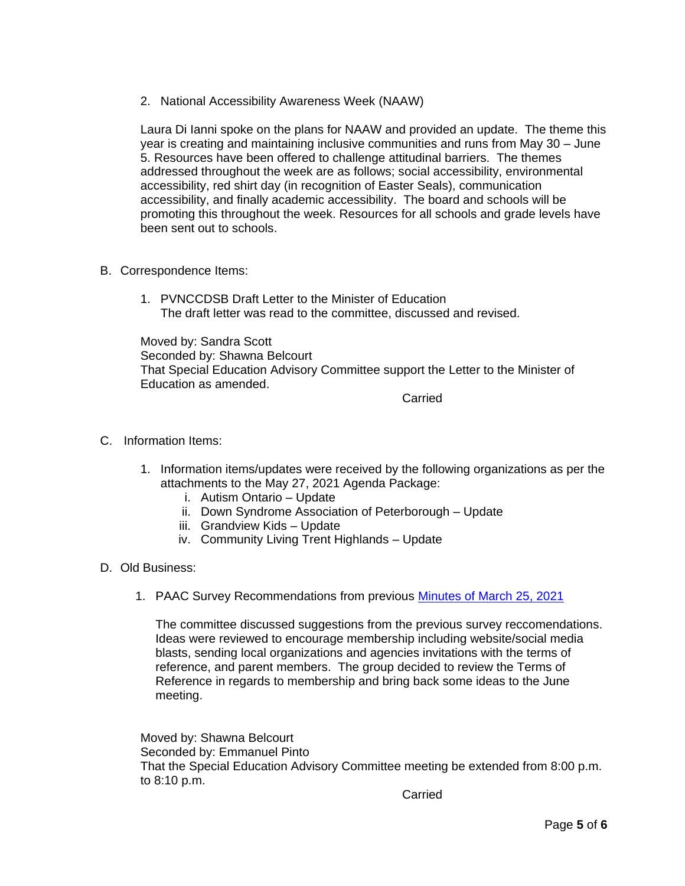2. National Accessibility Awareness Week (NAAW)

Laura Di Ianni spoke on the plans for NAAW and provided an update. The theme this year is creating and maintaining inclusive communities and runs from May 30 – June 5. Resources have been offered to challenge attitudinal barriers. The themes addressed throughout the week are as follows; social accessibility, environmental accessibility, red shirt day (in recognition of Easter Seals), communication accessibility, and finally academic accessibility. The board and schools will be promoting this throughout the week. Resources for all schools and grade levels have been sent out to schools.

- B. Correspondence Items:
	- 1. PVNCCDSB Draft Letter to the Minister of Education The draft letter was read to the committee, discussed and revised.

Moved by: Sandra Scott Seconded by: Shawna Belcourt That Special Education Advisory Committee support the Letter to the Minister of Education as amended.

Carried

- C. Information Items:
	- 1. Information items/updates were received by the following organizations as per the attachments to the May 27, 2021 Agenda Package:
		- i. Autism Ontario Update
		- ii. Down Syndrome Association of Peterborough Update
		- iii. Grandview Kids Update
		- iv. Community Living Trent Highlands Update
- D. Old Business:
	- 1. PAAC Survey Recommendations from previous [Minutes of March 25, 2021](https://www.pvnccdsb.on.ca/wp-content/uploads/2018/08/SEAC-Minutes-March-25-2021.pdf)

The committee discussed suggestions from the previous survey reccomendations. Ideas were reviewed to encourage membership including website/social media blasts, sending local organizations and agencies invitations with the terms of reference, and parent members. The group decided to review the Terms of Reference in regards to membership and bring back some ideas to the June meeting.

Moved by: Shawna Belcourt Seconded by: Emmanuel Pinto That the Special Education Advisory Committee meeting be extended from 8:00 p.m. to 8:10 p.m.

**Carried**